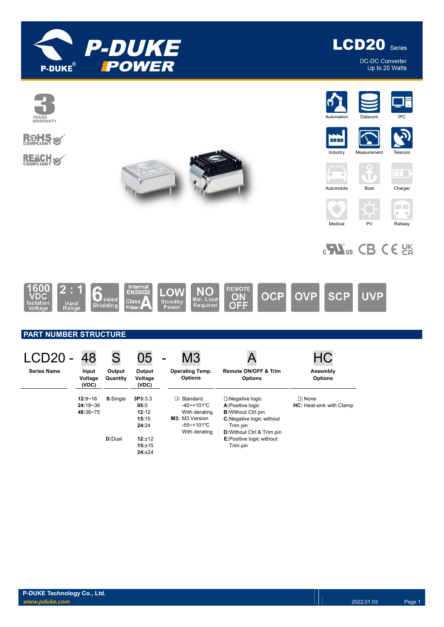



DC-DC Converter<br>Up to 20 Watts



**ROHS** 

**REACH S** 





**Industry** 

**SCP** 







JF.





 $_{c}$ Nus CB CE  $_{c}$ 

**UVP** 

Medical PV Railway



# PART NUMBER STRUCTURE

| <b>LCD20 -</b>     | 48                        | S                  | 05                         | M <sub>3</sub><br>-                      |                                                   |                                 |
|--------------------|---------------------------|--------------------|----------------------------|------------------------------------------|---------------------------------------------------|---------------------------------|
| <b>Series Name</b> | Input<br>Voltage<br>(VDC) | Output<br>Quantity | Output<br>Voltage<br>(VDC) | <b>Operating Temp.</b><br><b>Options</b> | <b>Remote ON/OFF &amp; Trim</b><br><b>Options</b> | Assembly<br><b>Options</b>      |
|                    | $12:9 - 18$               | S:Single           | 3P3:3.3                    | $\Box$ : Standard                        | $\square$ : Negative logic                        | $\square$ : None                |
|                    | $24:18 - 36$              |                    | 05:5                       | $-40$ ~+101°C                            | A:Positive logic                                  | <b>HC:</b> Heat-sink with Clamp |
|                    | 48:36~75                  |                    | 12:12                      | With derating                            | <b>B:</b> Without Ctrl pin                        |                                 |
|                    |                           |                    | 15:15                      | M3: M3 Version                           | <b>C:</b> Negative logic without                  |                                 |
|                    |                           |                    | 24:24                      | -55~+101℃                                | Trim pin                                          |                                 |
|                    |                           |                    |                            | With derating                            | <b>D:</b> Without Ctrl & Trim pin                 |                                 |
|                    |                           | <b>D:</b> Dual     | 12:±12                     |                                          | <b>E:Positive logic without</b>                   |                                 |
|                    |                           |                    | 15:±15                     |                                          | Trim pin                                          |                                 |
|                    |                           |                    | 24:±24                     |                                          |                                                   |                                 |

**OCP** 

**OVP**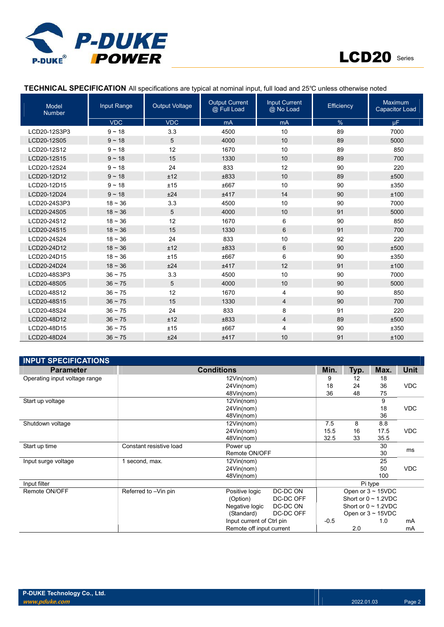



### TECHNICAL SPECIFICATION All specifications are typical at nominal input, full load and 25℃ unless otherwise noted

| <b>Model</b><br><b>Number</b> | Input Range  | <b>Output Voltage</b> | <b>Output Current</b><br>@ Full Load | <b>Input Current</b><br>@ No Load | Efficiency | Maximum<br><b>Capacitor Load</b> |
|-------------------------------|--------------|-----------------------|--------------------------------------|-----------------------------------|------------|----------------------------------|
|                               | <b>VDC</b>   | <b>VDC</b>            | mA                                   | mA                                | %          | $\mu$ F                          |
| LCD20-12S3P3                  | $9 - 18$     | 3.3                   | 4500                                 | 10                                | 89         | 7000                             |
| LCD20-12S05                   | $9 - 18$     | 5                     | 4000                                 | 10                                | 89         | 5000                             |
| LCD20-12S12                   | $9 - 18$     | 12                    | 1670                                 | 10                                | 89         | 850                              |
| LCD20-12S15                   | $9 - 18$     | 15                    | 1330                                 | 10                                | 89         | 700                              |
| LCD20-12S24                   | $9 - 18$     | 24                    | 833                                  | 12                                | 90         | 220                              |
| LCD20-12D12                   | $9 - 18$     | ±12                   | ±833                                 | 10                                | 89         | ±500                             |
| LCD20-12D15                   | $9 - 18$     | ±15                   | ±667                                 | 10                                | 90         | ±350                             |
| LCD20-12D24                   | $9 - 18$     | ±24                   | ±417                                 | 14                                | 90         | ±100                             |
| LCD20-24S3P3                  | $18 - 36$    | 3.3                   | 4500                                 | 10                                | 90         | 7000                             |
| LCD20-24S05                   | $18 - 36$    | 5                     | 4000                                 | 10                                | 91         | 5000                             |
| LCD20-24S12                   | $18 - 36$    | 12                    | 1670                                 | 6                                 | 90         | 850                              |
| LCD20-24S15                   | $18 - 36$    | 15                    | 1330                                 | 6                                 | 91         | 700                              |
| LCD20-24S24                   | $18 - 36$    | 24                    | 833                                  | 10                                | 92         | 220                              |
| LCD20-24D12                   | $18 - 36$    | ±12                   | ±833                                 | 6                                 | 90         | ±500                             |
| LCD20-24D15                   | $18 - 36$    | ±15                   | ±667                                 | 6                                 | 90         | ±350                             |
| LCD20-24D24                   | $18 - 36$    | ±24                   | ±417                                 | 12                                | 91         | ±100                             |
| LCD20-48S3P3                  | $36 \sim 75$ | 3.3                   | 4500                                 | 10                                | 90         | 7000                             |
| LCD20-48S05                   | $36 \sim 75$ | 5                     | 4000                                 | 10                                | 90         | 5000                             |
| LCD20-48S12                   | $36 \sim 75$ | 12                    | 1670                                 | 4                                 | 90         | 850                              |
| LCD20-48S15                   | $36 - 75$    | 15                    | 1330                                 | $\overline{4}$                    | 90         | 700                              |
| LCD20-48S24                   | $36 - 75$    | 24                    | 833                                  | 8                                 | 91         | 220                              |
| LCD20-48D12                   | $36 \sim 75$ | ±12                   | ±833                                 | $\overline{4}$                    | 89         | ±500                             |
| LCD20-48D15                   | $36 \sim 75$ | ±15                   | ±667                                 | 4                                 | 90         | ±350                             |
| LCD20-48D24                   | $36 \sim 75$ | ±24                   | ±417                                 | 10                                | 91         | ±100                             |

| <b>INPUT SPECIFICATIONS</b>   |                         |                           |           |             |            |                           |            |
|-------------------------------|-------------------------|---------------------------|-----------|-------------|------------|---------------------------|------------|
| <b>Parameter</b>              |                         | Min.                      | Typ.      | Max.        | Unit       |                           |            |
| Operating input voltage range |                         | 12Vin(nom)                |           |             |            |                           |            |
|                               |                         | 18                        | 24        | 36          | <b>VDC</b> |                           |            |
|                               |                         | 48Vin(nom)                |           | 36          | 48         | 75                        |            |
| Start up voltage              |                         |                           |           | 9           |            |                           |            |
|                               |                         | 24Vin(nom)                |           |             |            | 18                        | <b>VDC</b> |
|                               |                         | 48Vin(nom)                |           |             |            | 36                        |            |
| Shutdown voltage              |                         | 12Vin(nom)                |           | 7.5<br>15.5 | 8          | 8.8                       |            |
|                               | 24Vin(nom)              |                           |           |             | 16         | 17.5                      | <b>VDC</b> |
|                               |                         | 48Vin(nom)                |           | 32.5        | 33         | 35.5                      |            |
| Start up time                 | Constant resistive load | Power up                  |           |             |            | 30                        | ms         |
|                               |                         | Remote ON/OFF             |           |             |            | 30                        |            |
| Input surge voltage           | 1 second, max.          | 12Vin(nom)                |           |             |            | 25                        |            |
|                               |                         | 24Vin(nom)                |           |             |            | 50                        | <b>VDC</b> |
|                               |                         | 48Vin(nom)                |           |             |            | 100                       |            |
| Input filter                  |                         |                           |           | Pi type     |            |                           |            |
| Remote ON/OFF                 | Referred to -Vin pin    | Positive logic            | DC-DC ON  |             |            | Open or $3 \sim 15$ VDC   |            |
|                               |                         | (Option)                  | DC-DC OFF |             |            | Short or $0 \sim 1.2$ VDC |            |
|                               |                         | Negative logic            | DC-DC ON  |             |            | Short or $0 \sim 1.2$ VDC |            |
|                               |                         | (Standard)                | DC-DC OFF |             |            | Open or $3 \sim 15$ VDC   |            |
|                               |                         | Input current of Ctrl pin |           | $-0.5$      |            | 1.0                       | mA         |
|                               |                         | Remote off input current  |           |             | 2.0        |                           | mA         |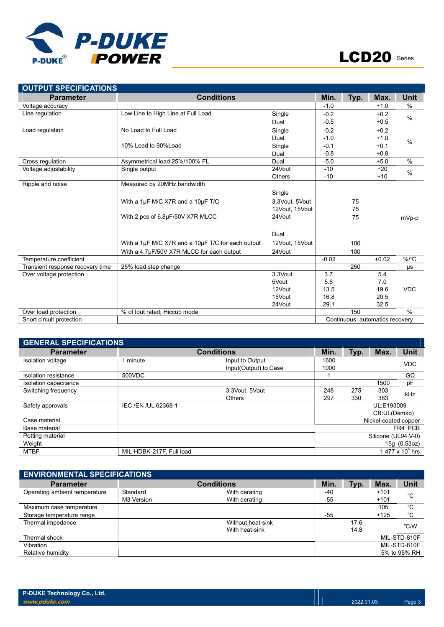

| <b>OUTPUT SPECIFICATIONS</b>     |                                                   |                |         |      |                                 |               |
|----------------------------------|---------------------------------------------------|----------------|---------|------|---------------------------------|---------------|
| <b>Parameter</b>                 | <b>Conditions</b>                                 |                | Min.    | Typ. | Max.                            | Unit          |
| Voltage accuracy                 |                                                   |                | $-1.0$  |      | $+1.0$                          | $\%$          |
| Line regulation                  | Low Line to High Line at Full Load                | Single         | $-0.2$  |      | $+0.2$                          | $\frac{0}{0}$ |
|                                  |                                                   | Dual           | $-0.5$  |      | $+0.5$                          |               |
| Load regulation                  | No Load to Full Load                              | Single         | $-0.2$  |      | $+0.2$                          |               |
|                                  |                                                   | Dual           | $-1.0$  |      | $+1.0$                          | $\frac{0}{0}$ |
|                                  | 10% Load to 90%Load                               | Single         | $-0.1$  |      | $+0.1$                          |               |
|                                  |                                                   | Dual           | $-0.8$  |      | $+0.8$                          |               |
| Cross regulation                 | Asymmetrical load 25%/100% FL                     | Dual           | $-5.0$  |      | $+5.0$                          | $\%$          |
| Voltage adjustability            | Single output                                     | 24Vout         | $-10$   |      | $+20$                           | $\frac{0}{0}$ |
|                                  |                                                   | <b>Others</b>  | $-10$   |      | $+10$                           |               |
| Ripple and noise                 | Measured by 20MHz bandwidth                       |                |         |      |                                 |               |
|                                  |                                                   | Single         |         |      |                                 |               |
|                                  | With a 1µF M/C X7R and a 10µF T/C                 | 3.3Vout, 5Vout |         | 75   |                                 |               |
|                                  |                                                   | 12Vout, 15Vout |         | 75   |                                 |               |
|                                  | With 2 pcs of 6.8µF/50V X7R MLCC                  | 24Vout         |         | 75   |                                 | mVp-p         |
|                                  |                                                   |                |         |      |                                 |               |
|                                  |                                                   | Dual           |         |      |                                 |               |
|                                  | With a 1µF M/C X7R and a 10µF T/C for each output | 12Vout, 15Vout |         | 100  |                                 |               |
|                                  | With a 4.7µF/50V X7R MLCC for each output         | 24Vout         |         | 100  |                                 |               |
| Temperature coefficient          |                                                   |                | $-0.02$ |      | $+0.02$                         | %/°C          |
| Transient response recovery time | 25% load step change                              |                |         | 250  |                                 | μs            |
| Over voltage protection          |                                                   | 3.3Vout        | 3.7     |      | 5.4                             |               |
|                                  |                                                   | 5Vout          | 5.6     |      | 7.0                             |               |
|                                  |                                                   | 12Vout         | 13.5    |      | 19.6                            | <b>VDC</b>    |
|                                  |                                                   | 15Vout         | 16.8    |      | 20.5                            |               |
|                                  |                                                   | 24Vout         | 29.1    |      | 32.5                            |               |
| Over load protection             | % of lout rated; Hiccup mode                      |                |         | 150  |                                 | $\frac{0}{0}$ |
| Short circuit protection         |                                                   |                |         |      | Continuous, automatics recovery |               |

| <b>GENERAL SPECIFICATIONS</b> |                          |                                          |              |      |                      |                    |
|-------------------------------|--------------------------|------------------------------------------|--------------|------|----------------------|--------------------|
| <b>Parameter</b>              |                          | <b>Conditions</b>                        | Min.         | Typ. | Max.                 | <b>Unit</b>        |
| Isolation voltage             | 1 minute                 | Input to Output<br>Input(Output) to Case | 1600<br>1000 |      |                      | <b>VDC</b>         |
| Isolation resistance          | 500VDC                   |                                          |              |      |                      | $G\Omega$          |
| Isolation capacitance         |                          |                                          |              |      | 1500                 | pF                 |
| Switching frequency           |                          | 3.3Vout. 5Vout                           | 248          | 275  | 303                  | kHz                |
|                               |                          | <b>Others</b>                            | 297          | 330  | 363                  |                    |
| Safety approvals              | IEC / EN / UL 62368-1    |                                          |              |      | UL:E193009           |                    |
|                               |                          |                                          |              |      | CB:UL(Demko)         |                    |
| Case material                 |                          |                                          |              |      | Nickel-coated copper |                    |
| Base material                 |                          |                                          |              |      |                      | FR4 PCB            |
| Potting material              |                          |                                          |              |      | Silicone (UL94 V-0)  |                    |
| Weight                        |                          |                                          |              |      |                      | 15g (0.53oz)       |
| <b>MTBF</b>                   | MIL-HDBK-217F, Full load |                                          |              |      |                      | 1.477 x $10^6$ hrs |

| <b>ENVIRONMENTAL SPECIFICATIONS</b> |            |                   |       |      |        |              |
|-------------------------------------|------------|-------------------|-------|------|--------|--------------|
| <b>Parameter</b>                    |            | <b>Conditions</b> | Min.  | Typ. | Max.   | Unit         |
| Operating ambient temperature       | Standard   | With derating     | -40   |      | $+101$ | °C           |
|                                     | M3 Version | With derating     | -55   |      | $+101$ |              |
| Maximum case temperature            |            |                   |       |      | 105    | °C           |
| Storage temperature range           |            |                   | $-55$ |      | $+125$ | °C           |
| Thermal impedance                   |            | Without heat-sink |       | 17.6 |        | °C/W         |
|                                     |            | With heat-sink    |       | 14.8 |        |              |
| Thermal shock                       |            |                   |       |      |        | MIL-STD-810F |
| Vibration                           |            |                   |       |      |        | MIL-STD-810F |
| Relative humidity                   |            |                   |       |      |        | 5% to 95% RH |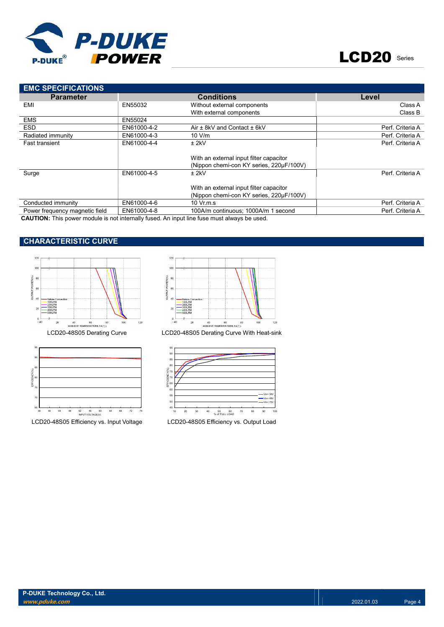

| <b>EMC SPECIFICATIONS</b>      |             |                                          |                  |
|--------------------------------|-------------|------------------------------------------|------------------|
| <b>Parameter</b>               |             | <b>Conditions</b>                        | Level            |
| EMI                            | EN55032     | Without external components              | Class A          |
|                                |             | With external components                 | Class B          |
| <b>EMS</b>                     | EN55024     |                                          |                  |
| <b>ESD</b>                     | EN61000-4-2 | Air ± 8kV and Contact ± 6kV              | Perf. Criteria A |
| Radiated immunity              | EN61000-4-3 | 10 V/m                                   | Perf. Criteria A |
| <b>Fast transient</b>          | EN61000-4-4 | ± 2kV                                    | Perf. Criteria A |
|                                |             |                                          |                  |
|                                |             | With an external input filter capacitor  |                  |
|                                |             | (Nippon chemi-con KY series, 220µF/100V) |                  |
| Surge                          | EN61000-4-5 | $±$ 2kV                                  | Perf. Criteria A |
|                                |             |                                          |                  |
|                                |             | With an external input filter capacitor  |                  |
|                                |             | (Nippon chemi-con KY series, 220µF/100V) |                  |
| Conducted immunity             | EN61000-4-6 | 10 Vr.m.s.                               | Perf. Criteria A |
| Power frequency magnetic field | EN61000-4-8 | 100A/m continuous: 1000A/m 1 second      | Perf. Criteria A |

CAUTION: This power module is not internally fused. An input line fuse must always be used.

# CHARACTERISTIC CURVE







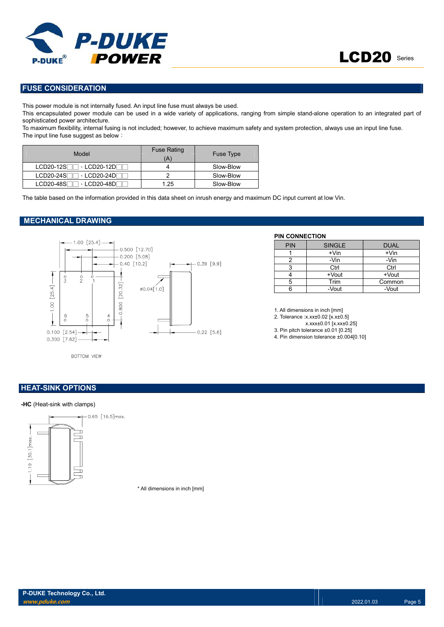

## FUSE CONSIDERATION

This power module is not internally fused. An input line fuse must always be used.

This encapsulated power module can be used in a wide variety of applications, ranging from simple stand-alone operation to an integrated part of sophisticated power architecture.

To maximum flexibility, internal fusing is not included; however, to achieve maximum safety and system protection, always use an input line fuse. The input line fuse suggest as below:

| Model                         | <b>Fuse Rating</b><br>Ά | <b>Fuse Type</b> |
|-------------------------------|-------------------------|------------------|
| $LCD20-12S$<br>∃ - LCD20-12DГ |                         | Slow-Blow        |
| $LCD20-24S$<br>ヿ、LCD20-24DГ   |                         | Slow-Blow        |
| $LCD20-48S$                   | 1.25                    | Slow-Blow        |

The table based on the information provided in this data sheet on inrush energy and maximum DC input current at low Vin.

#### MECHANICAL DRAWING



#### PIN CONNECTION

| <b>PIN</b> | <b>SINGLE</b> | <b>DUAL</b> |
|------------|---------------|-------------|
|            | $+V$ in       | $+V$ in     |
|            | -Vin          | -Vin        |
|            | Ctrl          | Ctrl        |
|            | +Vout         | +Vout       |
|            | Trim          | Common      |
|            | -Vout         | -Vout       |

1. All dimensions in inch [mm]

2. Tolerance :x.xx±0.02 [x.x±0.5]

x.xxx±0.01 [x.xx±0.25]

3. Pin pitch tolerance ±0.01 [0.25]

4. Pin dimension tolerance ±0.004[0.10]

BOTTOM VIEW

#### **HEAT-SINK OPTIONS**

#### -HC (Heat-sink with clamps)



\* All dimensions in inch [mm]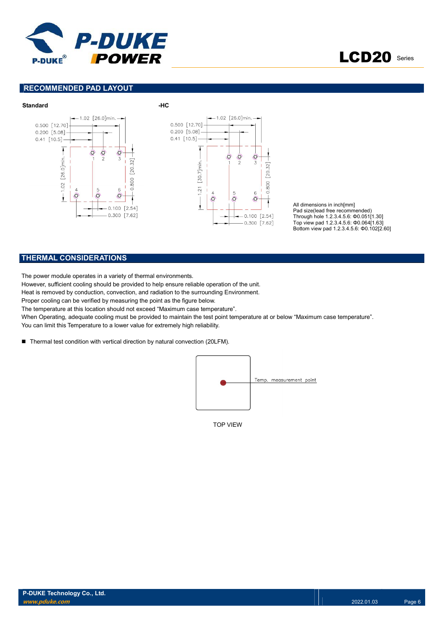



#### RECOMMENDED PAD LAYOUT



All dimensions in inch[mm] Pad size(lead free recommended) Through hole 1.2.3.4.5.6: Φ0.051[1.30] Top view pad 1.2.3.4.5.6: Φ0.064[1.63] Bottom view pad 1.2.3.4.5.6: Φ0.102[2.60]

### THERMAL CONSIDERATIONS

The power module operates in a variety of thermal environments.

However, sufficient cooling should be provided to help ensure reliable operation of the unit.

Heat is removed by conduction, convection, and radiation to the surrounding Environment.

Proper cooling can be verified by measuring the point as the figure below.

The temperature at this location should not exceed "Maximum case temperature".

When Operating, adequate cooling must be provided to maintain the test point temperature at or below "Maximum case temperature". You can limit this Temperature to a lower value for extremely high reliability.

■ Thermal test condition with vertical direction by natural convection (20LFM).



TOP VIEW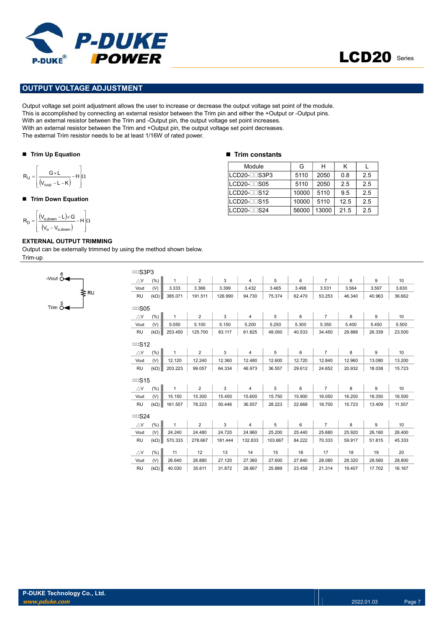



### OUTPUT VOLTAGE ADJUSTMENT

Output voltage set point adjustment allows the user to increase or decrease the output voltage set point of the module. This is accomplished by connecting an external resistor between the Trim pin and either the +Output or -Output pins. With an external resistor between the Trim and -Output pin, the output voltage set point increases. With an external resistor between the Trim and +Output pin, the output voltage set point decreases. The external Trim resistor needs to be at least 1/16W of rated power. **PUT VOLTAGE ADJUSTMENT**<br>
PUT VOLTAGE ADJUSTMENT<br>
voltage set point adjustment allows the user to increase or decrease the output voltage set point of the<br>
accomplished by connecting an external resistor between the Trim PUT VOLTAGE ADJUSTIMENT<br>
PUT VOLTAGE ADJUSTIMENT<br>
accomplished by connecting an external resistor between the firm pin and ethic the clup of other accomplished by connecting an external resistor between the Timm and -Outp **POWER**<br>
UIT VOLTAGE ADJUSTMENT<br>
voltage set point adjustment allows the user to increase or decrease the output voltage set point of the r<br>
accomplished by connecting an external resistor between the Trim and -Output pin

#### ■ Trim Up Equation

$$
R_U=\!\left[\!\frac{G\!\times\! L}{\left(\!V_{o,up}\!-\!L\!-\!K\!\right)}\!-\!H\!\right]\!\!\Omega
$$

#### ■ Trim Down Equation

$$
R_D=\!\left[\!\!\begin{array}{c} \displaystyle \left(\!V_{o,\text{down}}\!-\!L\!\right)\!\!\times\!\! G\\ \displaystyle \left(\!V_o\!-\!V_{o,\text{down}}\!\right)\end{array}\!\!\!\!\!-\!H\right]\!\!\Omega
$$

#### EXTERNAL OUTPUT TRIMMING

Output can be externally trimmed by using the method shown below. Trim-up



|  |  |  | <b>Trim constants</b> |
|--|--|--|-----------------------|
|--|--|--|-----------------------|

| Module               | G     | н     | κ    |     |
|----------------------|-------|-------|------|-----|
| LCD20-LLS3P3         | 5110  | 2050  | 0.8  | 2.5 |
| $LCD20$ - $\Box$ S05 | 5110  | 2050  | 2.5  | 2.5 |
| $LCD20$ - $\Box$ S12 | 10000 | 5110  | 9.5  | 2.5 |
| $LCD20$ - $\Box$ S15 | 10000 | 5110  | 12.5 | 2.5 |
| LCD20-□□S24          | 56000 | 13000 | 21.5 | 2.5 |

| □□S3P3        |             |              |                |         |                |         |        |                |        |        |        |
|---------------|-------------|--------------|----------------|---------|----------------|---------|--------|----------------|--------|--------|--------|
| $\triangle$ V | (% )        | $\mathbf{1}$ | $\overline{2}$ | 3       | $\overline{4}$ | 5       | 6      | $\overline{7}$ | 8      | 9      | 10     |
| Vout          | (V)         | 3.333        | 3.366          | 3.399   | 3.432          | 3.465   | 3.498  | 3.531          | 3.564  | 3.597  | 3.630  |
| <b>RU</b>     | $(k\Omega)$ | 385.071      | 191.511        | 126.990 | 94.730         | 75.374  | 62.470 | 53.253         | 46.340 | 40.963 | 36.662 |
| $\Box$ SO5    |             |              |                |         |                |         |        |                |        |        |        |
| $\triangle$ V | (% )        | $\mathbf{1}$ | 2              | 3       | $\overline{4}$ | 5       | 6      | $\overline{7}$ | 8      | 9      | 10     |
| Vout          | (V)         | 5.050        | 5.100          | 5.150   | 5.200          | 5.250   | 5.300  | 5.350          | 5.400  | 5.450  | 5.500  |
| <b>RU</b>     | $(k\Omega)$ | 253.450      | 125.700        | 83.117  | 61.825         | 49.050  | 40.533 | 34.450         | 29.888 | 26.339 | 23.500 |
| $\Box$ S12    |             |              |                |         |                |         |        |                |        |        |        |
| $\triangle$ V | (% )        | $\mathbf{1}$ | $\overline{2}$ | 3       | $\overline{4}$ | 5       | 6      | $\overline{7}$ | 8      | 9      | 10     |
| Vout          | (V)         | 12.120       | 12.240         | 12.360  | 12.480         | 12.600  | 12.720 | 12.840         | 12.960 | 13.080 | 13.200 |
| <b>RU</b>     | $(k\Omega)$ | 203.223      | 99.057         | 64.334  | 46.973         | 36.557  | 29.612 | 24.652         | 20.932 | 18.038 | 15.723 |
| $\Box$ S15    |             |              |                |         |                |         |        |                |        |        |        |
| $\triangle$ V | (% )        | $\mathbf{1}$ | $\overline{2}$ | 3       | 4              | 5       | 6      | $\overline{7}$ | 8      | 9      | 10     |
| Vout          | (V)         | 15.150       | 15.300         | 15.450  | 15.600         | 15.750  | 15.900 | 16.050         | 16.200 | 16.350 | 16.500 |
| <b>RU</b>     | $(k\Omega)$ | 161.557      | 78.223         | 50.446  | 36.557         | 28.223  | 22.668 | 18.700         | 15.723 | 13.409 | 11.557 |
| $\Box$ S24    |             |              |                |         |                |         |        |                |        |        |        |
| $\triangle$ V | (% )        | $\mathbf{1}$ | $\overline{2}$ | 3       | $\overline{4}$ | 5       | 6      | $\overline{7}$ | 8      | 9      | 10     |
| Vout          | (V)         | 24.240       | 24.480         | 24.720  | 24.960         | 25.200  | 25.440 | 25.680         | 25.920 | 26.160 | 26.400 |
| <b>RU</b>     | $(k\Omega)$ | 570.333      | 278.667        | 181.444 | 132.833        | 103.667 | 84.222 | 70.333         | 59.917 | 51.815 | 45.333 |
| $\triangle$ V | (% )        | 11           | 12             | 13      | 14             | 15      | 16     | 17             | 18     | 19     | 20     |
| Vout          | (V)         | 26.640       | 26.880         | 27.120  | 27.360         | 27.600  | 27.840 | 28.080         | 28.320 | 28.560 | 28,800 |
| <b>RU</b>     | $(k\Omega)$ | 40.030       | 35.611         | 31.872  | 28.667         | 25.889  | 23.458 | 21.314         | 19.407 | 17.702 | 16.167 |